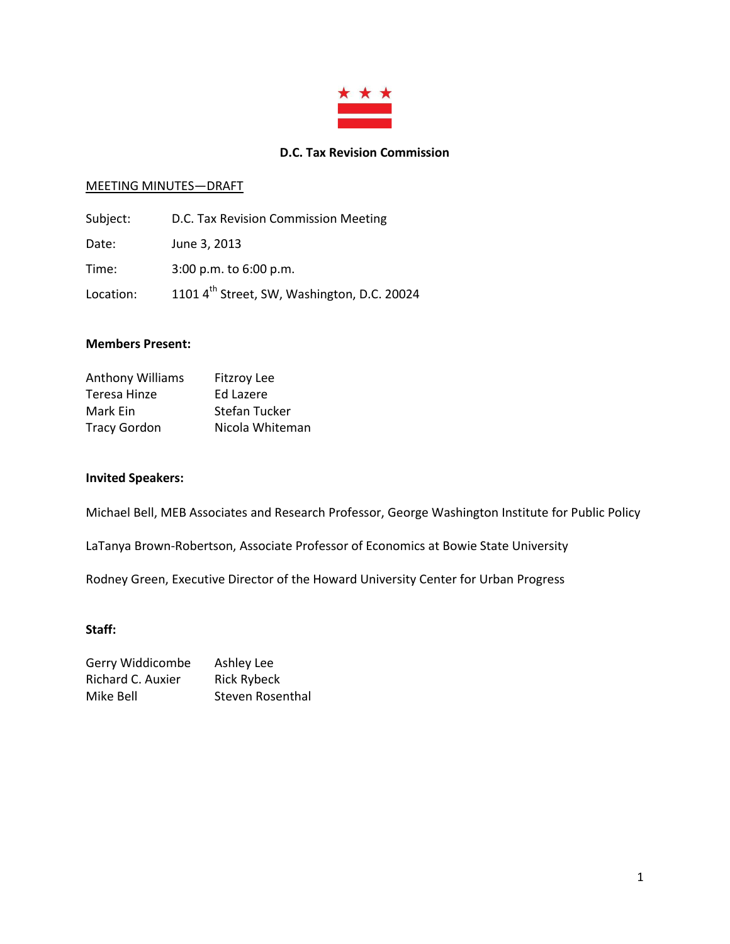

### **D.C. Tax Revision Commission**

#### MEETING MINUTES—DRAFT

| Subject:  | D.C. Tax Revision Commission Meeting                    |
|-----------|---------------------------------------------------------|
| Date:     | June 3, 2013                                            |
| Time:     | $3:00$ p.m. to $6:00$ p.m.                              |
| Location: | 1101 4 <sup>th</sup> Street, SW, Washington, D.C. 20024 |

#### **Members Present:**

| <b>Fitzroy Lee</b> |
|--------------------|
| Ed Lazere          |
| Stefan Tucker      |
| Nicola Whiteman    |
|                    |

#### **Invited Speakers:**

Michael Bell, MEB Associates and Research Professor, George Washington Institute for Public Policy

LaTanya Brown-Robertson, Associate Professor of Economics at Bowie State University

Rodney Green, Executive Director of the Howard University Center for Urban Progress

#### **Staff:**

| Gerry Widdicombe  | Ashley Lee         |
|-------------------|--------------------|
| Richard C. Auxier | <b>Rick Rybeck</b> |
| Mike Bell         | Steven Rosenthal   |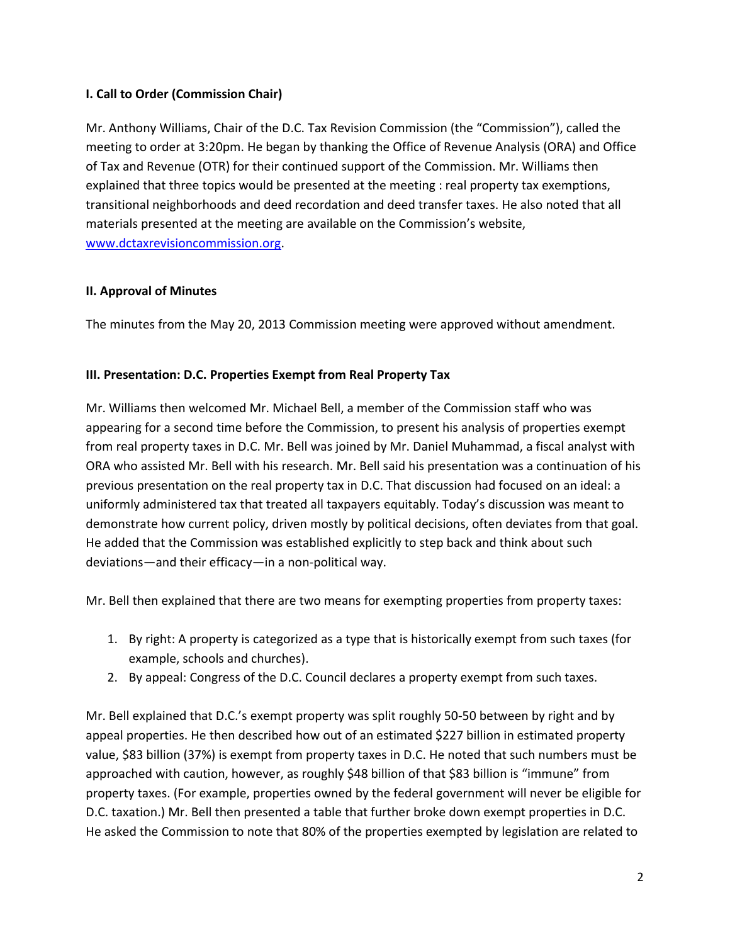## **I. Call to Order (Commission Chair)**

Mr. Anthony Williams, Chair of the D.C. Tax Revision Commission (the "Commission"), called the meeting to order at 3:20pm. He began by thanking the Office of Revenue Analysis (ORA) and Office of Tax and Revenue (OTR) for their continued support of the Commission. Mr. Williams then explained that three topics would be presented at the meeting : real property tax exemptions, transitional neighborhoods and deed recordation and deed transfer taxes. He also noted that all materials presented at the meeting are available on the Commission's website, [www.dctaxrevisioncommission.org.](http://www.dctaxrevisioncommission.org/)

### **II. Approval of Minutes**

The minutes from the May 20, 2013 Commission meeting were approved without amendment.

### **III. Presentation: D.C. Properties Exempt from Real Property Tax**

Mr. Williams then welcomed Mr. Michael Bell, a member of the Commission staff who was appearing for a second time before the Commission, to present his analysis of properties exempt from real property taxes in D.C. Mr. Bell was joined by Mr. Daniel Muhammad, a fiscal analyst with ORA who assisted Mr. Bell with his research. Mr. Bell said his presentation was a continuation of his previous presentation on the real property tax in D.C. That discussion had focused on an ideal: a uniformly administered tax that treated all taxpayers equitably. Today's discussion was meant to demonstrate how current policy, driven mostly by political decisions, often deviates from that goal. He added that the Commission was established explicitly to step back and think about such deviations—and their efficacy—in a non-political way.

Mr. Bell then explained that there are two means for exempting properties from property taxes:

- 1. By right: A property is categorized as a type that is historically exempt from such taxes (for example, schools and churches).
- 2. By appeal: Congress of the D.C. Council declares a property exempt from such taxes.

Mr. Bell explained that D.C.'s exempt property was split roughly 50-50 between by right and by appeal properties. He then described how out of an estimated \$227 billion in estimated property value, \$83 billion (37%) is exempt from property taxes in D.C. He noted that such numbers must be approached with caution, however, as roughly \$48 billion of that \$83 billion is "immune" from property taxes. (For example, properties owned by the federal government will never be eligible for D.C. taxation.) Mr. Bell then presented a table that further broke down exempt properties in D.C. He asked the Commission to note that 80% of the properties exempted by legislation are related to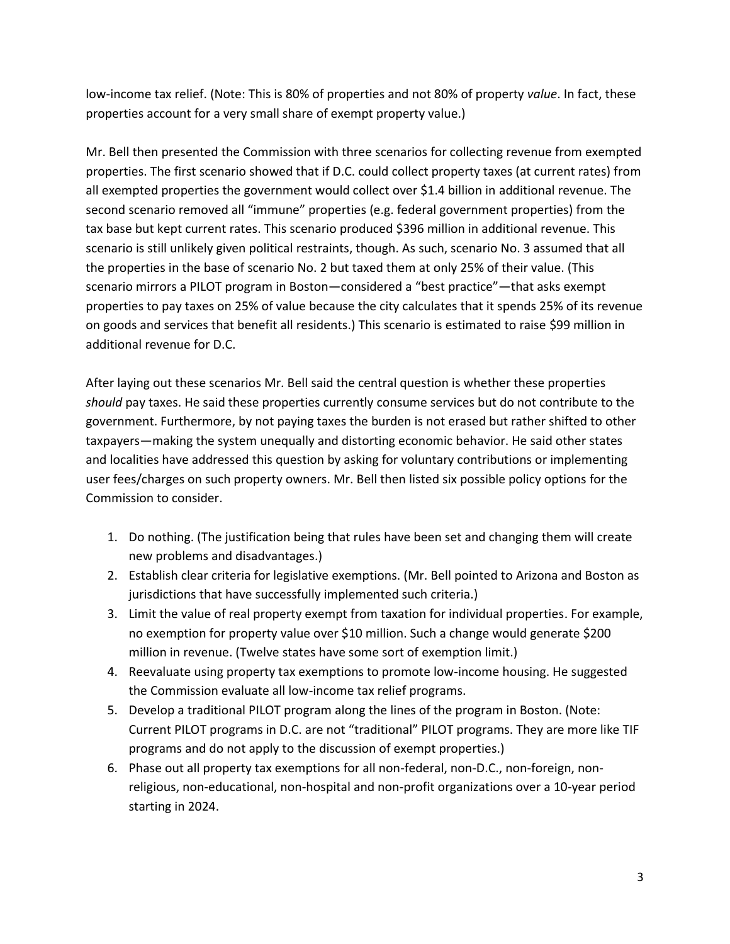low-income tax relief. (Note: This is 80% of properties and not 80% of property *value*. In fact, these properties account for a very small share of exempt property value.)

Mr. Bell then presented the Commission with three scenarios for collecting revenue from exempted properties. The first scenario showed that if D.C. could collect property taxes (at current rates) from all exempted properties the government would collect over \$1.4 billion in additional revenue. The second scenario removed all "immune" properties (e.g. federal government properties) from the tax base but kept current rates. This scenario produced \$396 million in additional revenue. This scenario is still unlikely given political restraints, though. As such, scenario No. 3 assumed that all the properties in the base of scenario No. 2 but taxed them at only 25% of their value. (This scenario mirrors a PILOT program in Boston—considered a "best practice"—that asks exempt properties to pay taxes on 25% of value because the city calculates that it spends 25% of its revenue on goods and services that benefit all residents.) This scenario is estimated to raise \$99 million in additional revenue for D.C.

After laying out these scenarios Mr. Bell said the central question is whether these properties *should* pay taxes. He said these properties currently consume services but do not contribute to the government. Furthermore, by not paying taxes the burden is not erased but rather shifted to other taxpayers—making the system unequally and distorting economic behavior. He said other states and localities have addressed this question by asking for voluntary contributions or implementing user fees/charges on such property owners. Mr. Bell then listed six possible policy options for the Commission to consider.

- 1. Do nothing. (The justification being that rules have been set and changing them will create new problems and disadvantages.)
- 2. Establish clear criteria for legislative exemptions. (Mr. Bell pointed to Arizona and Boston as jurisdictions that have successfully implemented such criteria.)
- 3. Limit the value of real property exempt from taxation for individual properties. For example, no exemption for property value over \$10 million. Such a change would generate \$200 million in revenue. (Twelve states have some sort of exemption limit.)
- 4. Reevaluate using property tax exemptions to promote low-income housing. He suggested the Commission evaluate all low-income tax relief programs.
- 5. Develop a traditional PILOT program along the lines of the program in Boston. (Note: Current PILOT programs in D.C. are not "traditional" PILOT programs. They are more like TIF programs and do not apply to the discussion of exempt properties.)
- 6. Phase out all property tax exemptions for all non-federal, non-D.C., non-foreign, nonreligious, non-educational, non-hospital and non-profit organizations over a 10-year period starting in 2024.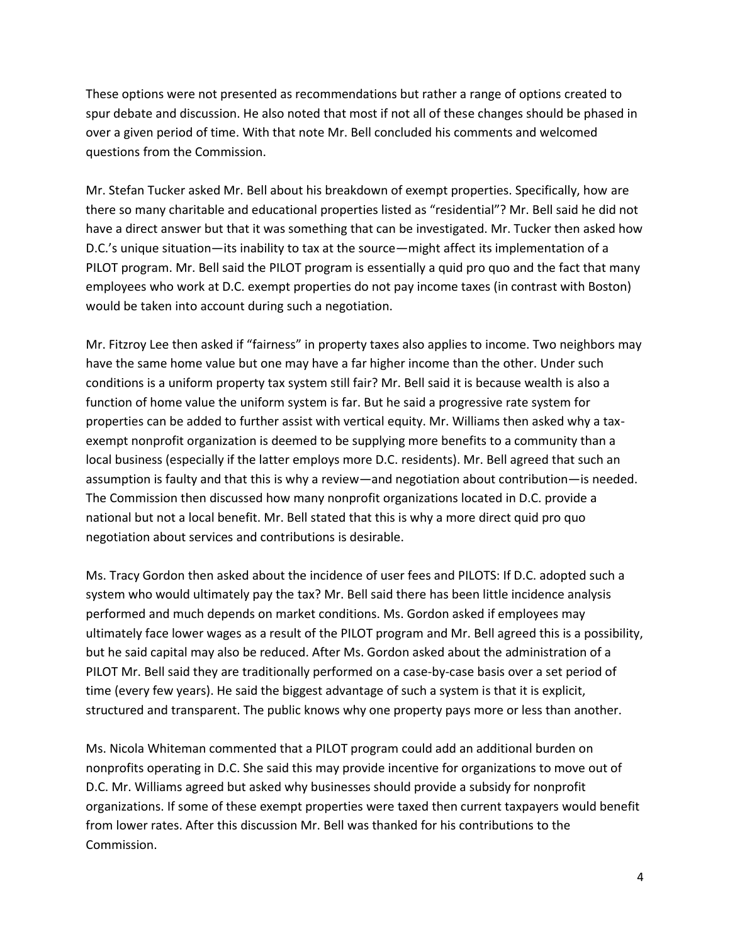These options were not presented as recommendations but rather a range of options created to spur debate and discussion. He also noted that most if not all of these changes should be phased in over a given period of time. With that note Mr. Bell concluded his comments and welcomed questions from the Commission.

Mr. Stefan Tucker asked Mr. Bell about his breakdown of exempt properties. Specifically, how are there so many charitable and educational properties listed as "residential"? Mr. Bell said he did not have a direct answer but that it was something that can be investigated. Mr. Tucker then asked how D.C.'s unique situation—its inability to tax at the source—might affect its implementation of a PILOT program. Mr. Bell said the PILOT program is essentially a quid pro quo and the fact that many employees who work at D.C. exempt properties do not pay income taxes (in contrast with Boston) would be taken into account during such a negotiation.

Mr. Fitzroy Lee then asked if "fairness" in property taxes also applies to income. Two neighbors may have the same home value but one may have a far higher income than the other. Under such conditions is a uniform property tax system still fair? Mr. Bell said it is because wealth is also a function of home value the uniform system is far. But he said a progressive rate system for properties can be added to further assist with vertical equity. Mr. Williams then asked why a taxexempt nonprofit organization is deemed to be supplying more benefits to a community than a local business (especially if the latter employs more D.C. residents). Mr. Bell agreed that such an assumption is faulty and that this is why a review—and negotiation about contribution—is needed. The Commission then discussed how many nonprofit organizations located in D.C. provide a national but not a local benefit. Mr. Bell stated that this is why a more direct quid pro quo negotiation about services and contributions is desirable.

Ms. Tracy Gordon then asked about the incidence of user fees and PILOTS: If D.C. adopted such a system who would ultimately pay the tax? Mr. Bell said there has been little incidence analysis performed and much depends on market conditions. Ms. Gordon asked if employees may ultimately face lower wages as a result of the PILOT program and Mr. Bell agreed this is a possibility, but he said capital may also be reduced. After Ms. Gordon asked about the administration of a PILOT Mr. Bell said they are traditionally performed on a case-by-case basis over a set period of time (every few years). He said the biggest advantage of such a system is that it is explicit, structured and transparent. The public knows why one property pays more or less than another.

Ms. Nicola Whiteman commented that a PILOT program could add an additional burden on nonprofits operating in D.C. She said this may provide incentive for organizations to move out of D.C. Mr. Williams agreed but asked why businesses should provide a subsidy for nonprofit organizations. If some of these exempt properties were taxed then current taxpayers would benefit from lower rates. After this discussion Mr. Bell was thanked for his contributions to the Commission.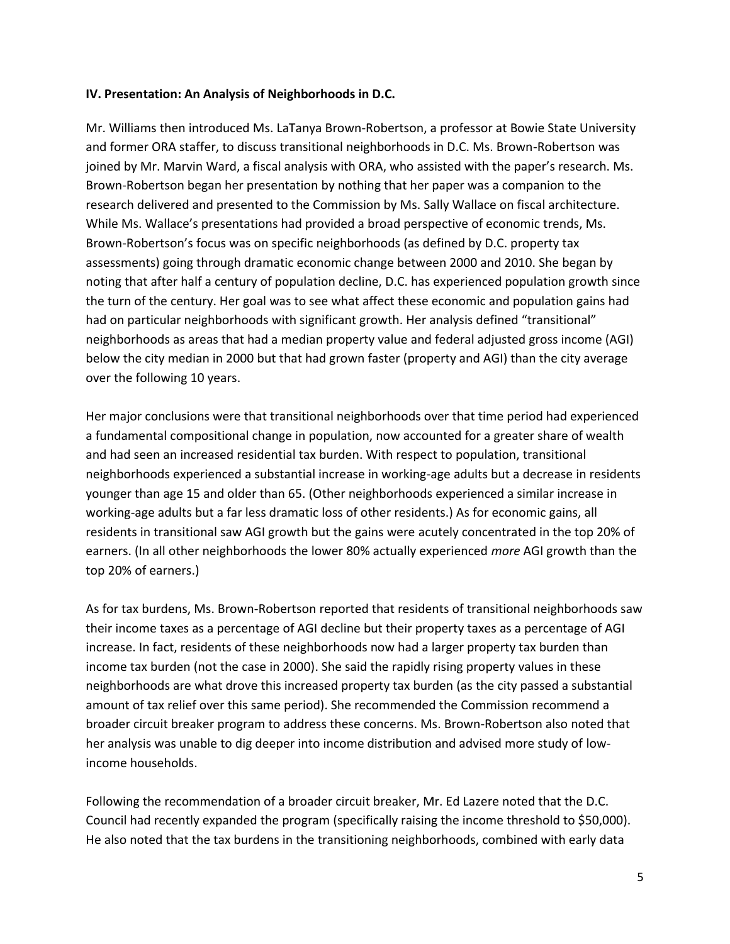### **IV. Presentation: An Analysis of Neighborhoods in D.C.**

Mr. Williams then introduced Ms. LaTanya Brown-Robertson, a professor at Bowie State University and former ORA staffer, to discuss transitional neighborhoods in D.C. Ms. Brown-Robertson was joined by Mr. Marvin Ward, a fiscal analysis with ORA, who assisted with the paper's research. Ms. Brown-Robertson began her presentation by nothing that her paper was a companion to the research delivered and presented to the Commission by Ms. Sally Wallace on fiscal architecture. While Ms. Wallace's presentations had provided a broad perspective of economic trends, Ms. Brown-Robertson's focus was on specific neighborhoods (as defined by D.C. property tax assessments) going through dramatic economic change between 2000 and 2010. She began by noting that after half a century of population decline, D.C. has experienced population growth since the turn of the century. Her goal was to see what affect these economic and population gains had had on particular neighborhoods with significant growth. Her analysis defined "transitional" neighborhoods as areas that had a median property value and federal adjusted gross income (AGI) below the city median in 2000 but that had grown faster (property and AGI) than the city average over the following 10 years.

Her major conclusions were that transitional neighborhoods over that time period had experienced a fundamental compositional change in population, now accounted for a greater share of wealth and had seen an increased residential tax burden. With respect to population, transitional neighborhoods experienced a substantial increase in working-age adults but a decrease in residents younger than age 15 and older than 65. (Other neighborhoods experienced a similar increase in working-age adults but a far less dramatic loss of other residents.) As for economic gains, all residents in transitional saw AGI growth but the gains were acutely concentrated in the top 20% of earners. (In all other neighborhoods the lower 80% actually experienced *more* AGI growth than the top 20% of earners.)

As for tax burdens, Ms. Brown-Robertson reported that residents of transitional neighborhoods saw their income taxes as a percentage of AGI decline but their property taxes as a percentage of AGI increase. In fact, residents of these neighborhoods now had a larger property tax burden than income tax burden (not the case in 2000). She said the rapidly rising property values in these neighborhoods are what drove this increased property tax burden (as the city passed a substantial amount of tax relief over this same period). She recommended the Commission recommend a broader circuit breaker program to address these concerns. Ms. Brown-Robertson also noted that her analysis was unable to dig deeper into income distribution and advised more study of lowincome households.

Following the recommendation of a broader circuit breaker, Mr. Ed Lazere noted that the D.C. Council had recently expanded the program (specifically raising the income threshold to \$50,000). He also noted that the tax burdens in the transitioning neighborhoods, combined with early data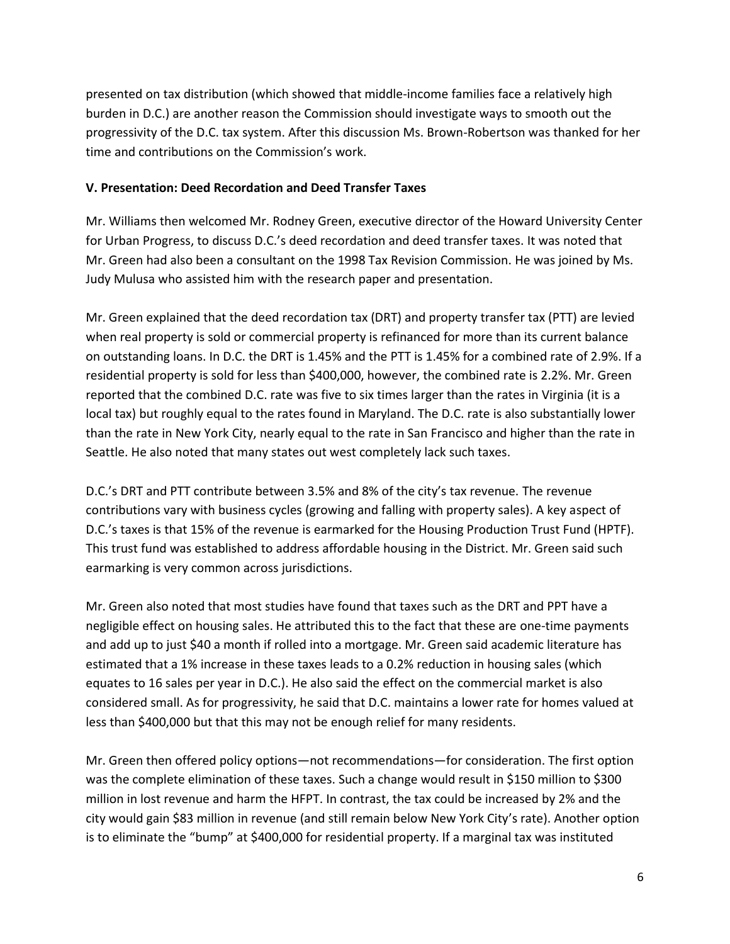presented on tax distribution (which showed that middle-income families face a relatively high burden in D.C.) are another reason the Commission should investigate ways to smooth out the progressivity of the D.C. tax system. After this discussion Ms. Brown-Robertson was thanked for her time and contributions on the Commission's work.

### **V. Presentation: Deed Recordation and Deed Transfer Taxes**

Mr. Williams then welcomed Mr. Rodney Green, executive director of the Howard University Center for Urban Progress, to discuss D.C.'s deed recordation and deed transfer taxes. It was noted that Mr. Green had also been a consultant on the 1998 Tax Revision Commission. He was joined by Ms. Judy Mulusa who assisted him with the research paper and presentation.

Mr. Green explained that the deed recordation tax (DRT) and property transfer tax (PTT) are levied when real property is sold or commercial property is refinanced for more than its current balance on outstanding loans. In D.C. the DRT is 1.45% and the PTT is 1.45% for a combined rate of 2.9%. If a residential property is sold for less than \$400,000, however, the combined rate is 2.2%. Mr. Green reported that the combined D.C. rate was five to six times larger than the rates in Virginia (it is a local tax) but roughly equal to the rates found in Maryland. The D.C. rate is also substantially lower than the rate in New York City, nearly equal to the rate in San Francisco and higher than the rate in Seattle. He also noted that many states out west completely lack such taxes.

D.C.'s DRT and PTT contribute between 3.5% and 8% of the city's tax revenue. The revenue contributions vary with business cycles (growing and falling with property sales). A key aspect of D.C.'s taxes is that 15% of the revenue is earmarked for the Housing Production Trust Fund (HPTF). This trust fund was established to address affordable housing in the District. Mr. Green said such earmarking is very common across jurisdictions.

Mr. Green also noted that most studies have found that taxes such as the DRT and PPT have a negligible effect on housing sales. He attributed this to the fact that these are one-time payments and add up to just \$40 a month if rolled into a mortgage. Mr. Green said academic literature has estimated that a 1% increase in these taxes leads to a 0.2% reduction in housing sales (which equates to 16 sales per year in D.C.). He also said the effect on the commercial market is also considered small. As for progressivity, he said that D.C. maintains a lower rate for homes valued at less than \$400,000 but that this may not be enough relief for many residents.

Mr. Green then offered policy options—not recommendations—for consideration. The first option was the complete elimination of these taxes. Such a change would result in \$150 million to \$300 million in lost revenue and harm the HFPT. In contrast, the tax could be increased by 2% and the city would gain \$83 million in revenue (and still remain below New York City's rate). Another option is to eliminate the "bump" at \$400,000 for residential property. If a marginal tax was instituted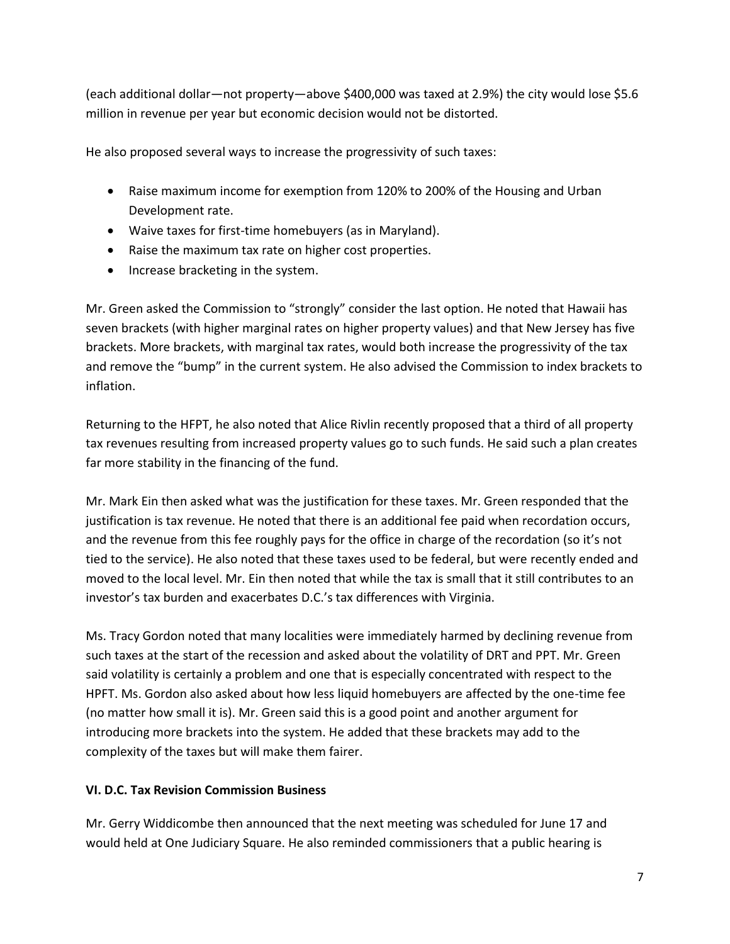(each additional dollar—not property—above \$400,000 was taxed at 2.9%) the city would lose \$5.6 million in revenue per year but economic decision would not be distorted.

He also proposed several ways to increase the progressivity of such taxes:

- Raise maximum income for exemption from 120% to 200% of the Housing and Urban Development rate.
- Waive taxes for first-time homebuyers (as in Maryland).
- Raise the maximum tax rate on higher cost properties.
- Increase bracketing in the system.

Mr. Green asked the Commission to "strongly" consider the last option. He noted that Hawaii has seven brackets (with higher marginal rates on higher property values) and that New Jersey has five brackets. More brackets, with marginal tax rates, would both increase the progressivity of the tax and remove the "bump" in the current system. He also advised the Commission to index brackets to inflation.

Returning to the HFPT, he also noted that Alice Rivlin recently proposed that a third of all property tax revenues resulting from increased property values go to such funds. He said such a plan creates far more stability in the financing of the fund.

Mr. Mark Ein then asked what was the justification for these taxes. Mr. Green responded that the justification is tax revenue. He noted that there is an additional fee paid when recordation occurs, and the revenue from this fee roughly pays for the office in charge of the recordation (so it's not tied to the service). He also noted that these taxes used to be federal, but were recently ended and moved to the local level. Mr. Ein then noted that while the tax is small that it still contributes to an investor's tax burden and exacerbates D.C.'s tax differences with Virginia.

Ms. Tracy Gordon noted that many localities were immediately harmed by declining revenue from such taxes at the start of the recession and asked about the volatility of DRT and PPT. Mr. Green said volatility is certainly a problem and one that is especially concentrated with respect to the HPFT. Ms. Gordon also asked about how less liquid homebuyers are affected by the one-time fee (no matter how small it is). Mr. Green said this is a good point and another argument for introducing more brackets into the system. He added that these brackets may add to the complexity of the taxes but will make them fairer.

# **VI. D.C. Tax Revision Commission Business**

Mr. Gerry Widdicombe then announced that the next meeting was scheduled for June 17 and would held at One Judiciary Square. He also reminded commissioners that a public hearing is